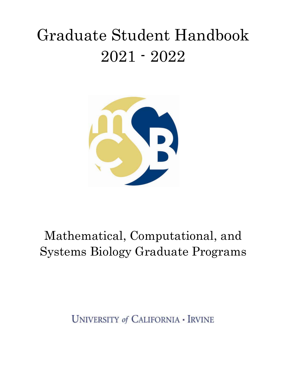# Graduate Student Handbook 2021 - 2022



## Mathematical, Computational, and Systems Biology Graduate Programs

**UNIVERSITY of CALIFORNIA - IRVINE**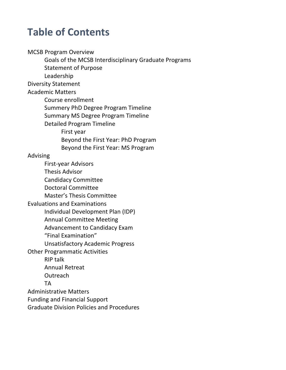## **Table of Contents**

**MCSB Program Overview** Goals of the MCSB Interdisciplinary Graduate Programs Statement of Purpose Leadership Diversity Statement Academic Matters Course enrollment Summery PhD Degree Program Timeline Summary MS Degree Program Timeline Detailed Program Timeline First year Beyond the First Year: PhD Program Beyond the First Year: MS Program Advising First-year Advisors Thesis Advisor Candidacy Committee Doctoral Committee Master's Thesis Committee Evaluations and Examinations Individual Development Plan (IDP) Annual Committee Meeting Advancement to Candidacy Exam "Final Examination" Unsatisfactory Academic Progress **Other Programmatic Activities RIP** talk Annual Retreat **Outreach** TA Administrative Matters Funding and Financial Support Graduate Division Policies and Procedures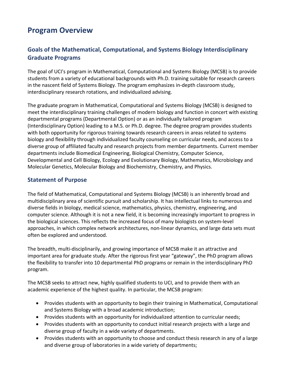## **Program Overview**

#### Goals of the Mathematical, Computational, and Systems Biology Interdisciplinary **Graduate Programs**

The goal of UCI's program in Mathematical, Computational and Systems Biology (MCSB) is to provide students from a variety of educational backgrounds with Ph.D. training suitable for research careers in the nascent field of Systems Biology. The program emphasizes in-depth classroom study, interdisciplinary research rotations, and individualized advising.

The graduate program in Mathematical, Computational and Systems Biology (MCSB) is designed to meet the interdisciplinary training challenges of modern biology and function in concert with existing departmental programs (Departmental Option) or as an individually tailored program (Interdisciplinary Option) leading to a M.S. or Ph.D. degree. The degree program provides students with both opportunity for rigorous training towards research careers in areas related to systems biology and flexibility through individualized faculty counseling on curricular needs, and access to a diverse group of affiliated faculty and research projects from member departments. Current member departments include Biomedical Engineering, Biological Chemistry, Computer Science, Developmental and Cell Biology, Ecology and Evolutionary Biology, Mathematics, Microbiology and Molecular Genetics, Molecular Biology and Biochemistry, Chemistry, and Physics.

#### **Statement of Purpose**

The field of Mathematical, Computational and Systems Biology (MCSB) is an inherently broad and multidisciplinary area of scientific pursuit and scholarship. It has intellectual links to numerous and diverse fields in biology, medical science, mathematics, physics, chemistry, engineering, and computer science. Although it is not a new field, it is becoming increasingly important to progress in the biological sciences. This reflects the increased focus of many biologists on system-level approaches, in which complex network architectures, non-linear dynamics, and large data sets must often be explored and understood.

The breadth, multi-disciplinarily, and growing importance of MCSB make it an attractive and important area for graduate study. After the rigorous first year "gateway", the PhD program allows the flexibility to transfer into 10 departmental PhD programs or remain in the interdisciplinary PhD program.

The MCSB seeks to attract new, highly qualified students to UCI, and to provide them with an academic experience of the highest quality. In particular, the MCSB program:

- Provides students with an opportunity to begin their training in Mathematical, Computational and Systems Biology with a broad academic introduction;
- Provides students with an opportunity for individualized attention to curricular needs;
- Provides students with an opportunity to conduct initial research projects with a large and diverse group of faculty in a wide variety of departments.
- Provides students with an opportunity to choose and conduct thesis research in any of a large and diverse group of laboratories in a wide variety of departments;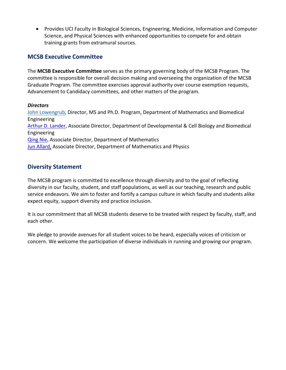• Provides UCI Faculty in Biological Sciences, Engineering, Medicine, Information and Computer Science, and Physical Sciences with enhanced opportunities to compete for and obtain training grants from extramural sources.

#### **MCSB Executive Committee**

The **MCSB Executive Committee** serves as the primary governing body of the MCSB Program. The committee is responsible for overall decision making and overseeing the organization of the MCSB Graduate Program. The committee exercises approval authority over course exemption requests, Advancement to Candidacy committees, and other matters of the program.

#### *Directors*

John Lowengrub, Director, MS and Ph.D. Program, Department of Mathematics and Biomedical Engineering Arthur D. Lander, Associate Director, Department of Developmental & Cell Biology and Biomedical Engineering Qing Nie, Associate Director, Department of Mathematics Jun Allard, Associate Director, Department of Mathematics and Physics

#### **Diversity Statement**

The MCSB program is committed to excellence through diversity and to the goal of reflecting diversity in our faculty, student, and staff populations, as well as our teaching, research and public service endeavors. We aim to foster and fortify a campus culture in which faculty and students alike expect equity, support diversity and practice inclusion.

It is our commitment that all MCSB students deserve to be treated with respect by faculty, staff, and each other.

We pledge to provide avenues for all student voices to be heard, especially voices of criticism or concern. We welcome the participation of diverse individuals in running and growing our program.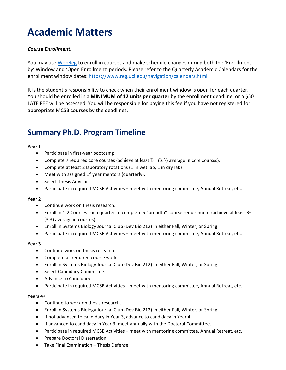## **Academic Matters**

#### *Course Enrollment:*

You may use WebReg to enroll in courses and make schedule changes during both the 'Enrollment by' Window and 'Open Enrollment' periods. Please refer to the Quarterly Academic Calendars for the enrollment window dates: https://www.reg.uci.edu/navigation/calendars.html

It is the student's responsibility to check when their enrollment window is open for each quarter. You should be enrolled in a **MINIMUM of 12 units per quarter** by the enrollment deadline, or a \$50 LATE FEE will be assessed. You will be responsible for paying this fee if you have not registered for appropriate MCSB courses by the deadlines.

### **Summary Ph.D. Program Timeline**

#### **Year 1**

- Participate in first-year bootcamp
- Complete 7 required core courses (achieve at least  $B + (3.3)$  average in core courses).
- Complete at least 2 laboratory rotations (1 in wet lab, 1 in dry lab)
- Meet with assigned  $1^{st}$  year mentors (quarterly).
- Select Thesis Advisor
- Participate in required MCSB Activities meet with mentoring committee, Annual Retreat, etc.

#### **Year 2**

- Continue work on thesis research.
- Enroll in 1-2 Courses each quarter to complete 5 "breadth" course requirement (achieve at least B+ (3.3) average in courses).
- Enroll in Systems Biology Journal Club (Dev Bio 212) in either Fall, Winter, or Spring.
- Participate in required MCSB Activities meet with mentoring committee, Annual Retreat, etc.

#### **Year 3**

- Continue work on thesis research.
- Complete all required course work.
- Enroll in Systems Biology Journal Club (Dev Bio 212) in either Fall, Winter, or Spring.
- Select Candidacy Committee.
- Advance to Candidacy.
- Participate in required MCSB Activities meet with mentoring committee, Annual Retreat, etc.

#### **Years 4+**

- Continue to work on thesis research.
- Enroll in Systems Biology Journal Club (Dev Bio 212) in either Fall, Winter, or Spring.
- If not advanced to candidacy in Year 3, advance to candidacy in Year 4.
- If advanced to candidacy in Year 3, meet annually with the Doctoral Committee.
- Participate in required MCSB Activities meet with mentoring committee, Annual Retreat, etc.
- Prepare Doctoral Dissertation.
- Take Final Examination Thesis Defense.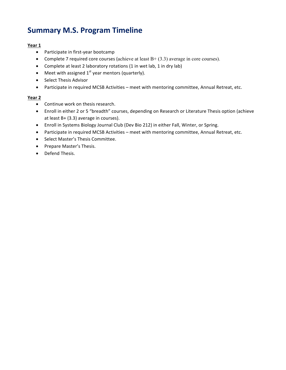## **Summary M.S. Program Timeline**

#### **Year 1**

- Participate in first-year bootcamp
- Complete 7 required core courses (achieve at least  $B + (3.3)$  average in core courses).
- Complete at least 2 laboratory rotations (1 in wet lab, 1 in dry lab)
- Meet with assigned  $1<sup>st</sup>$  year mentors (quarterly).
- Select Thesis Advisor
- Participate in required MCSB Activities meet with mentoring committee, Annual Retreat, etc.

#### **Year 2**

- Continue work on thesis research.
- Enroll in either 2 or 5 "breadth" courses, depending on Research or Literature Thesis option (achieve at least  $B+$  (3.3) average in courses).
- Enroll in Systems Biology Journal Club (Dev Bio 212) in either Fall, Winter, or Spring.
- Participate in required MCSB Activities meet with mentoring committee, Annual Retreat, etc.
- Select Master's Thesis Committee.
- Prepare Master's Thesis.
- Defend Thesis.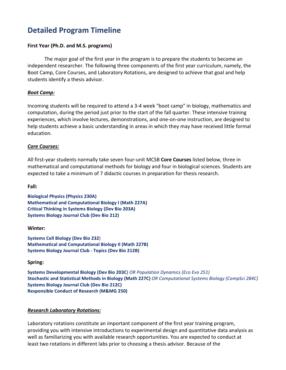## **Detailed Program Timeline**

#### **First Year (Ph.D. and M.S. programs)**

The major goal of the first year in the program is to prepare the students to become an independent researcher. The following three components of the first year curriculum, namely, the Boot Camp, Core Courses, and Laboratory Rotations, are designed to achieve that goal and help students identify a thesis advisor.

#### *Boot Camp:*

Incoming students will be required to attend a 3-4 week "boot camp" in biology, mathematics and computation, during the period just prior to the start of the fall quarter. These intensive training experiences, which involve lectures, demonstrations, and one-on-one instruction, are designed to help students achieve a basic understanding in areas in which they may have received little formal education. 

#### *Core Courses:*

All first-year students normally take seven four-unit MCSB **Core Courses** listed below, three in mathematical and computational methods for biology and four in biological sciences. Students are expected to take a minimum of 7 didactic courses in preparation for thesis research.

**Fall:**

**Biological Physics (Physics 230A) Mathematical and Computational Biology I (Math 227A) Critical Thinking in Systems Biology (Dev Bio 203A) Systems Biology Journal Club (Dev Bio 212)** 

#### **Winter:**

**Systems Cell Biology (Dev Bio 232) Mathematical and Computational Biology II (Math 227B) Systems Biology Journal Club - Topics (Dev Bio 212B)** 

**Spring:**

**Systems Developmental Biology (Dev Bio 203C)** *OR Population Dynamics (Eco Evo 251)* **Stochastic and Statistical Methods in Biology (Math 227C)** *OR Computational Systems Biology (CompSci 284C)* **Systems Biology Journal Club (Dev Bio 212C) Responsible Conduct of Research (M&MG 250)** 

#### *Research Laboratory Rotations:*

Laboratory rotations constitute an important component of the first year training program, providing you with intensive introductions to experimental design and quantitative data analysis as well as familiarizing you with available research opportunities. You are expected to conduct at least two rotations in different labs prior to choosing a thesis advisor. Because of the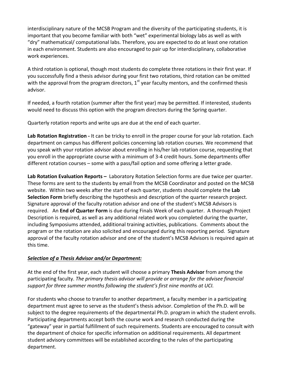interdisciplinary nature of the MCSB Program and the diversity of the participating students, it is important that you become familiar with both "wet" experimental biology labs as well as with "dry" mathematical/ computational labs. Therefore, you are expected to do at least one rotation in each environment. Students are also encouraged to pair up for interdisciplinary, collaborative work experiences.

A third rotation is optional, though most students do complete three rotations in their first year. If you successfully find a thesis advisor during your first two rotations, third rotation can be omitted with the approval from the program directors,  $1^{st}$  year faculty mentors, and the confirmed thesis advisor. 

If needed, a fourth rotation (summer after the first year) may be permitted. If interested, students would need to discuss this option with the program directors during the Spring quarter.

Quarterly rotation reports and write ups are due at the end of each quarter.

Lab Rotation Registration - It can be tricky to enroll in the proper course for your lab rotation. Each department on campus has different policies concerning lab rotation courses. We recommend that you speak with your rotation advisor about enrolling in his/her lab rotation course, requesting that you enroll in the appropriate course with a minimum of 3-4 credit hours. Some departments offer different rotation courses  $-$  some with a pass/fail option and some offering a letter grade.

**Lab Rotation Evaluation Reports** – Laboratory Rotation Selection forms are due twice per quarter. These forms are sent to the students by email from the MCSB Coordinator and posted on the MCSB website. Within two weeks after the start of each quarter, students should complete the Lab **Selection Form** briefly describing the hypothesis and description of the quarter research project. Signature approval of the faculty rotation advisor and one of the student's MCSB Advisors is required. An **End of Quarter Form** is due during Finals Week of each quarter. A thorough Project Description is required, as well as any additional related work you completed during the quarter, including Symposiums attended, additional training activities, publications. Comments about the program or the rotation are also solicited and encouraged during this reporting period. Signature approval of the faculty rotation advisor and one of the student's MCSB Advisors is required again at this time.

#### *Selection of a Thesis Advisor and/or Department:*

At the end of the first year, each student will choose a primary **Thesis Advisor** from among the participating faculty. *The primary thesis advisor will provide or arrange for the advisee financial support for three summer months following the student's first nine months at UCI.* 

For students who choose to transfer to another department, a faculty member in a participating department must agree to serve as the student's thesis advisor. Completion of the Ph.D. will be subject to the degree requirements of the departmental Ph.D. program in which the student enrolls. Participating departments accept both the course work and research conducted during the "gateway" year in partial fulfillment of such requirements. Students are encouraged to consult with the department of choice for specific information on additional requirements. All department student advisory committees will be established according to the rules of the participating department.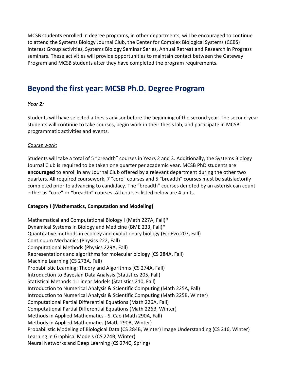MCSB students enrolled in degree programs, in other departments, will be encouraged to continue to attend the Systems Biology Journal Club, the Center for Complex Biological Systems (CCBS) Interest Group activities, Systems Biology Seminar Series, Annual Retreat and Research in Progress seminars. These activities will provide opportunities to maintain contact between the Gateway Program and MCSB students after they have completed the program requirements.

### **Beyond the first year: MCSB Ph.D. Degree Program**

#### *Year 2:*

Students will have selected a thesis advisor before the beginning of the second year. The second-year students will continue to take courses, begin work in their thesis lab, and participate in MCSB programmatic activities and events.

#### *Course work:*

Students will take a total of 5 "breadth" courses in Years 2 and 3. Additionally, the Systems Biology Journal Club is required to be taken one quarter per academic year. MCSB PhD students are **encouraged** to enroll in any Journal Club offered by a relevant department during the other two quarters. All required coursework, 7 "core" courses and 5 "breadth" courses must be satisfactorily completed prior to advancing to candidacy. The "breadth" courses denoted by an asterisk can count either as "core" or "breadth" courses. All courses listed below are 4 units.

#### **Category I (Mathematics, Computation and Modeling)**

Mathematical and Computational Biology I (Math 227A, Fall)\* Dynamical Systems in Biology and Medicine (BME 233, Fall)\* Quantitative methods in ecology and evolutionary biology (EcoEvo 207, Fall) Continuum Mechanics (Physics 222, Fall) Computational Methods (Physics 229A, Fall) Representations and algorithms for molecular biology (CS 284A, Fall) Machine Learning (CS 273A, Fall) Probabilistic Learning: Theory and Algorithms (CS 274A, Fall) Introduction to Bayesian Data Analysis (Statistics 205, Fall) Statistical Methods 1: Linear Models (Statistics 210, Fall) Introduction to Numerical Analysis & Scientific Computing (Math 225A, Fall) Introduction to Numerical Analysis & Scientific Computing (Math 225B, Winter) Computational Partial Differential Equations (Math 226A, Fall) Computational Partial Differential Equations (Math 226B, Winter) Methods in Applied Mathematics - S. Cao (Math 290A, Fall) Methods in Applied Mathematics (Math 290B, Winter) Probabilistic Modeling of Biological Data (CS 284B, Winter) Image Understanding (CS 216, Winter) Learning in Graphical Models (CS 274B, Winter) Neural Networks and Deep Learning (CS 274C, Spring)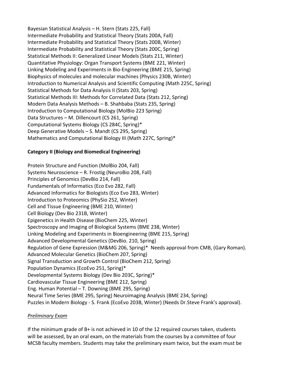Bayesian Statistical Analysis - H. Stern (Stats 225, Fall) Intermediate Probability and Statistical Theory (Stats 200A, Fall) Intermediate Probability and Statistical Theory (Stats 200B, Winter) Intermediate Probability and Statistical Theory (Stats 200C, Spring) Statistical Methods II: Generalized Linear Models (Stats 211, Winter) Quantitative Physiology: Organ Transport Systems (BME 221, Winter) Linking Modeling and Experiments in Bio-Engineering (BME 215, Spring) Biophysics of molecules and molecular machines (Physics 230B, Winter) Introduction to Numerical Analysis and Scientific Computing (Math 225C, Spring) Statistical Methods for Data Analysis II (Stats 203, Spring) Statistical Methods III: Methods for Correlated Data (Stats 212, Spring) Modern Data Analysis Methods – B. Shahbaba (Stats 235, Spring) Introduction to Computational Biology (MolBio 223 Spring) Data Structures – M. Dillencourt (CS 261, Spring) Computational Systems Biology (CS 284C, Spring)\* Deep Generative Models – S. Mandt (CS 295, Spring) Mathematics and Computational Biology III (Math 227C, Spring)\*

#### **Category II (Biology and Biomedical Engineering)**

Protein Structure and Function (MolBio 204, Fall) Systems Neuroscience  $-$  R. Frostig (NeuroBio 208, Fall) Principles of Genomics (DevBio 214, Fall) Fundamentals of Informatics (Eco Evo 282, Fall) Advanced Informatics for Biologists (Eco Evo 283, Winter) Introduction to Proteomics (PhySio 252, Winter) Cell and Tissue Engineering (BME 210, Winter) Cell Biology (Dev Bio 231B, Winter) Epigenetics in Health Disease (BioChem 225, Winter) Spectroscopy and Imaging of Biological Systems (BME 238, Winter) Linking Modeling and Experiments in Bioengineering (BME 215, Spring) Advanced Developmental Genetics (DevBio. 210, Spring) Regulation of Gene Expression (M&MG 206, Spring)\* Needs approval from CMB, (Gary Roman). Advanced Molecular Genetics (BioChem 207, Spring) Signal Transduction and Growth Control (BioChem 212, Spring) Population Dynamics (EcoEvo 251, Spring)\* Developmental Systems Biology (Dev Bio 203C, Spring)\* Cardiovascular Tissue Engineering (BME 212, Spring) Eng. Human Potential  $-$  T. Downing (BME 295, Spring) Neural Time Series (BME 295, Spring) Neuroimaging Analysis (BME 234, Spring) Puzzles in Modern Biology - S. Frank (EcoEvo 203B, Winter) (Needs Dr.Steve Frank's approval).

#### *Preliminary Exam*

If the minimum grade of  $B+$  is not achieved in 10 of the 12 required courses taken, students will be assessed, by an oral exam, on the materials from the courses by a committee of four MCSB faculty members. Students may take the preliminary exam twice, but the exam must be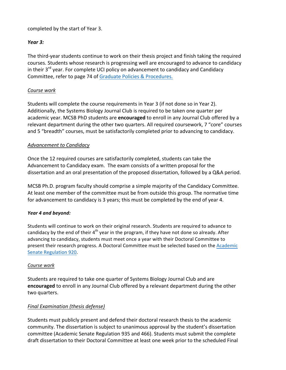completed by the start of Year 3.

#### *Year 3:*

The third-year students continue to work on their thesis project and finish taking the required courses. Students whose research is progressing well are encouraged to advance to candidacy in their  $3^{rd}$  year. For complete UCI policy on advancement to candidacy and Candidacy Committee, refer to page 74 of Graduate Policies & Procedures.

#### *Course work*

Students will complete the course requirements in Year 3 (if not done so in Year 2). Additionally, the Systems Biology Journal Club is required to be taken one quarter per academic year. MCSB PhD students are **encouraged** to enroll in any Journal Club offered by a relevant department during the other two quarters. All required coursework, 7 "core" courses and 5 "breadth" courses, must be satisfactorily completed prior to advancing to candidacy.

#### *Advancement to Candidacy*

Once the 12 required courses are satisfactorily completed, students can take the Advancement to Candidacy exam. The exam consists of a written proposal for the dissertation and an oral presentation of the proposed dissertation, followed by a Q&A period.

MCSB Ph.D. program faculty should comprise a simple majority of the Candidacy Committee. At least one member of the committee must be from outside this group. The normative time for advancement to candidacy is 3 years; this must be completed by the end of year 4.

#### *Year 4 and beyond:*

Students will continue to work on their original research. Students are required to advance to candidacy by the end of their  $4<sup>th</sup>$  year in the program, if they have not done so already. After advancing to candidacy, students must meet once a year with their Doctoral Committee to present their research progress. A Doctoral Committee must be selected based on the Academic Senate Regulation 920.

#### *Course work*

Students are required to take one quarter of Systems Biology Journal Club and are **encouraged** to enroll in any Journal Club offered by a relevant department during the other two quarters.

#### *Final Examination (thesis defense)*

Students must publicly present and defend their doctoral research thesis to the academic community. The dissertation is subject to unanimous approval by the student's dissertation committee (Academic Senate Regulation 935 and 466). Students must submit the complete draft dissertation to their Doctoral Committee at least one week prior to the scheduled Final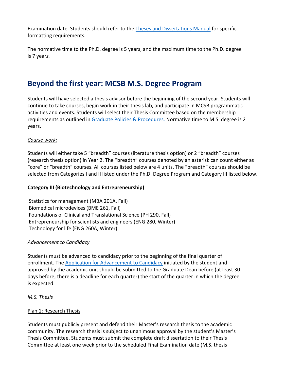Examination date. Students should refer to the Theses and Dissertations Manual for specific formatting requirements.

The normative time to the Ph.D. degree is 5 years, and the maximum time to the Ph.D. degree is 7 year*s.*

## **Beyond the first year: MCSB M.S. Degree Program**

Students will have selected a thesis advisor before the beginning of the second year. Students will continue to take courses, begin work in their thesis lab, and participate in MCSB programmatic activities and events. Students will select their Thesis Committee based on the membership requirements as outlined in Graduate Policies & Procedures. Normative time to M.S. degree is 2 years.

#### *Course work:*

Students will either take 5 "breadth" courses (literature thesis option) or 2 "breadth" courses (research thesis option) in Year 2. The "breadth" courses denoted by an asterisk can count either as "core" or "breadth" courses. All courses listed below are 4 units. The "breadth" courses should be selected from Categories I and II listed under the Ph.D. Degree Program and Category III listed below.

#### **Category III (Biotechnology and Entrepreneurship)**

Statistics for management (MBA 201A, Fall) Biomedical microdevices (BME 261, Fall) Foundations of Clinical and Translational Science (PH 290, Fall) Entrepreneurship for scientists and engineers (ENG 280, Winter) Technology for life (ENG 260A, Winter)

#### *Advancement to Candidacy*

Students must be advanced to candidacy prior to the beginning of the final quarter of enrollment. The Application for Advancement to Candidacy initiated by the student and approved by the academic unit should be submitted to the Graduate Dean before (at least 30 days before; there is a deadline for each quarter) the start of the quarter in which the degree is expected.

#### *M.S. Thesis*

#### Plan 1: Research Thesis

Students must publicly present and defend their Master's research thesis to the academic community. The research thesis is subject to unanimous approval by the student's Master's Thesis Committee. Students must submit the complete draft dissertation to their Thesis Committee at least one week prior to the scheduled Final Examination date (M.S. thesis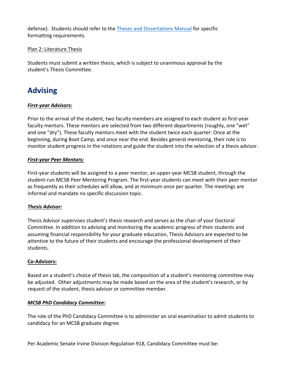defense). Students should refer to the Theses and Dissertations Manual for specific formatting requirements.

#### Plan 2: Literature Thesis

Students must submit a written thesis, which is subject to unanimous approval by the student's Thesis Committee.

## **Advising**

#### *First-year Advisors:*

Prior to the arrival of the student, two faculty members are assigned to each student as first-year faculty mentors. These mentors are selected from two different departments (roughly, one "wet" and one "dry"). These faculty mentors meet with the student twice each quarter: Once at the beginning, during Boot Camp, and once near the end. Besides general mentoring, their role is to monitor student progress in the rotations and guide the student into the selection of a thesis advisor.

#### *First-year Peer Mentors:*

First-year students will be assigned to a peer mentor, an upper-year MCSB student, through the student-run MCSB Peer Mentoring Program. The first-year students can meet with their peer mentor as frequently as their schedules will allow, and at minimum once per quarter. The meetings are informal and mandate no specific discussion topic.

#### *Thesis Advisor:*

Thesis Advisor supervises student's thesis research and serves as the chair of your Doctoral Committee. In addition to advising and monitoring the academic progress of their students and assuming financial responsibility for your graduate education, Thesis Advisors are expected to be attentive to the future of their students and encourage the professional development of their students.

#### **Co-Advisors:**

Based on a student's choice of thesis lab, the composition of a student's mentoring committee may be adjusted. Other adjustments may be made based on the area of the student's research, or by request of the student, thesis advisor or committee member.

#### *MCSB PhD Candidacy Committee:*

The role of the PhD Candidacy Committee is to administer an oral examination to admit students to candidacy for an MCSB graduate degree.

Per Academic Senate Irvine Division Regulation 918, Candidacy Committee must be: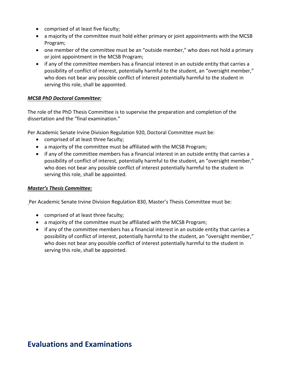- comprised of at least five faculty;
- a majority of the committee must hold either primary or joint appointments with the MCSB Program;
- one member of the committee must be an "outside member," who does not hold a primary or joint appointment in the MCSB Program;
- if any of the committee members has a financial interest in an outside entity that carries a possibility of conflict of interest, potentially harmful to the student, an "oversight member," who does not bear any possible conflict of interest potentially harmful to the student in serving this role, shall be appointed.

#### *MCSB PhD Doctoral Committee:*

The role of the PhD Thesis Committee is to supervise the preparation and completion of the dissertation and the "final examination."

Per Academic Senate Irvine Division Regulation 920, Doctoral Committee must be:

- comprised of at least three faculty;
- a majority of the committee must be affiliated with the MCSB Program;
- if any of the committee members has a financial interest in an outside entity that carries a possibility of conflict of interest, potentially harmful to the student, an "oversight member," who does not bear any possible conflict of interest potentially harmful to the student in serving this role, shall be appointed.

#### *Master's Thesis Committee:*

Per Academic Senate Irvine Division Regulation 830, Master's Thesis Committee must be:

- comprised of at least three faculty;
- a majority of the committee must be affiliated with the MCSB Program;
- if any of the committee members has a financial interest in an outside entity that carries a possibility of conflict of interest, potentially harmful to the student, an "oversight member," who does not bear any possible conflict of interest potentially harmful to the student in serving this role, shall be appointed.

### **Evaluations and Examinations**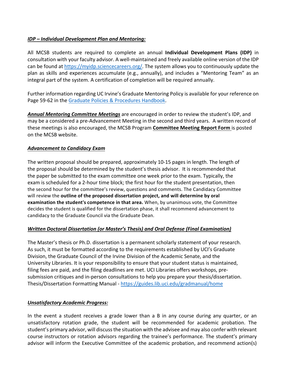#### *IDP* – *Individual Development Plan and Mentoring:*

All MCSB students are required to complete an annual **Individual Development Plans (IDP)** in consultation with your faculty advisor. A well-maintained and freely available online version of the IDP can be found at https://myidp.sciencecareers.org/. The system allows you to continuously update the plan as skills and experiences accumulate (e.g., annually), and includes a "Mentoring Team" as an integral part of the system. A certification of completion will be required annually.

Further information regarding UC Irvine's Graduate Mentoring Policy is available for your reference on Page 59-62 in the Graduate Policies & Procedures Handbook.

**Annual Mentoring Committee Meetings** are encouraged in order to review the student's IDP, and may be a considered a pre-Advancement Meeting in the second and third years. A written record of these meetings is also encouraged, the MCSB Program **Committee Meeting Report Form** is posted on the MCSB website.

#### *Advancement to Candidacy Exam*

The written proposal should be prepared, approximately 10-15 pages in length. The length of the proposal should be determined by the student's thesis advisor. It is recommended that the paper be submitted to the exam committee one week prior to the exam. Typically, the exam is scheduled for a 2-hour time block; the first hour for the student presentation, then the second hour for the committee's review, questions and comments. The Candidacy Committee will review the **outline of the proposed dissertation project, and will determine by oral examination the student's competence in that area.** When, by unanimous vote, the Committee decides the student is qualified for the dissertation phase, it shall recommend advancement to candidacy to the Graduate Council via the Graduate Dean.

#### *Written Doctoral Dissertation (or Master's Thesis)* and Oral Defense (Final Examination)

The Master's thesis or Ph.D. dissertation is a permanent scholarly statement of your research. As such, it must be formatted according to the requirements established by UCI's Graduate Division, the Graduate Council of the Irvine Division of the Academic Senate, and the University Libraries. It is your responsibility to ensure that your student status is maintained, filing fees are paid, and the filing deadlines are met. UCI Libraries offers workshops, presubmission critiques and in-person consultations to help you prepare your thesis/dissertation. Thesis/Dissertation Formatting Manual - https://guides.lib.uci.edu/gradmanual/home

#### *Unsatisfactory Academic Progress:*

In the event a student receives a grade lower than a B in any course during any quarter, or an unsatisfactory rotation grade, the student will be recommended for academic probation. The student's primary advisor, will discuss the situation with the advisee and may also confer with relevant course instructors or rotation advisors regarding the trainee's performance. The student's primary advisor will inform the Executive Committee of the academic probation, and recommend action(s)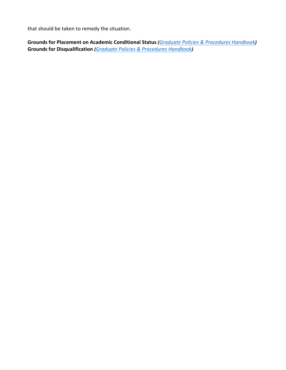that should be taken to remedy the situation.

Grounds for Placement on Academic Conditional Status (Graduate Policies & Procedures Handbook) **Grounds for Disqualification** (*Graduate Policies & Procedures Handbook*)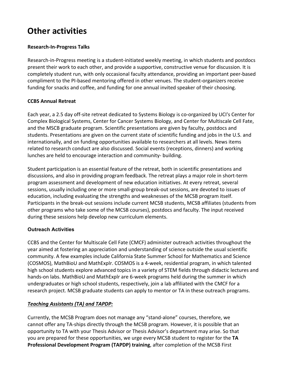## **Other activities**

#### **Research-In-Progress Talks**

Research-in-Progress meeting is a student-initiated weekly meeting, in which students and postdocs present their work to each other, and provide a supportive, constructive venue for discussion. It is completely student run, with only occasional faculty attendance, providing an important peer-based compliment to the PI-based mentoring offered in other venues. The student-organizers receive funding for snacks and coffee, and funding for one annual invited speaker of their choosing.

#### **CCBS Annual Retreat**

Each year, a 2.5 day off-site retreat dedicated to Systems Biology is co-organized by UCI's Center for Complex Biological Systems, Center for Cancer Systems Biology, and Center for Multiscale Cell Fate, and the MSCB graduate program. Scientific presentations are given by faculty, postdocs and students. Presentations are given on the current state of scientific funding and jobs in the U.S. and internationally, and on funding opportunities available to researchers at all levels. News items related to research conduct are also discussed. Social events (receptions, dinners) and working lunches are held to encourage interaction and community- building.

Student participation is an essential feature of the retreat, both in scientific presentations and discussions, and also in providing program feedback. The retreat plays a major role in short-term program assessment and development of new education initiatives. At every retreat, several sessions, usually including one or more small-group break-out sessions, are devoted to issues of education, including evaluating the strengths and weaknesses of the MCSB program itself. Participants in the break-out sessions include current MCSB students, MCSB affiliates (students from other programs who take some of the MCSB courses), postdocs and faculty. The input received during these sessions help develop new curriculum elements.

#### **Outreach Activities**

CCBS and the Center for Multiscale Cell Fate (CMCF) administer outreach activities throughout the year aimed at fostering an appreciation and understanding of science outside the usual scientific community. A few examples include California State Summer School for Mathematics and Science (COSMOS), MathBioU and MathExplr. COSMOS is a 4-week, residential program, in which talented high school students explore advanced topics in a variety of STEM fields through didactic lectures and hands-on labs. MathBioU and MathExplr are 6-week programs held during the summer in which undergraduates or high school students, respectively, join a lab affiliated with the CMCF for a research project. MCSB graduate students can apply to mentor or TA in these outreach programs.

#### *Teaching Assistants (TA) and TAPDP:*

Currently, the MCSB Program does not manage any "stand-alone" courses, therefore, we cannot offer any TA-ships directly through the MCSB program. However, it is possible that an opportunity to TA with your Thesis Advisor or Thesis Advisor's department may arise. So that you are prepared for these opportunities, we urge every MCSB student to register for the TA **Professional Development Program (TAPDP) training**, after completion of the MCSB First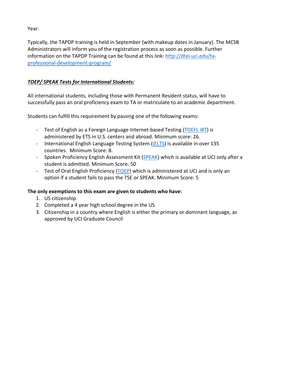Year. 

Typically, the TAPDP training is held in September (with makeup dates in January). The MCSB Administrators will inform you of the registration process as soon as possible. Further information on the TAPDP Training can be found at this link: http://dtei.uci.edu/taprofessional-development-program/

#### *TOEP/ SPEAK Tests for International Students:*

All international students, including those with Permanent Resident status, will have to successfully pass an oral proficiency exam to TA or matriculate to an academic department.

Students can fulfill this requirement by passing one of the following exams:

- Test of English as a Foreign Language Internet-based Testing (TOEFL iBT) is administered by ETS in U.S. centers and abroad. Minimum score: 26.
- International English Language Testing System (IELTS) is available in over 135 countries. Minimum Score: 8.
- Spoken Proficiency English Assessment Kit (SPEAK) which is available at UCI only after a student is admitted. Minimum Score: 50
- Test of Oral English Proficiency (TOEP) which is administered at UCI and is only an option if a student fails to pass the TSE or SPEAK. Minimum Score: 5

#### The only exemptions to this exam are given to students who have:

- 1. US citizenship
- 2. Completed a 4 year high school degree in the US
- 3. Citizenship in a country where English is either the primary or dominant language, as approved by UCI Graduate Council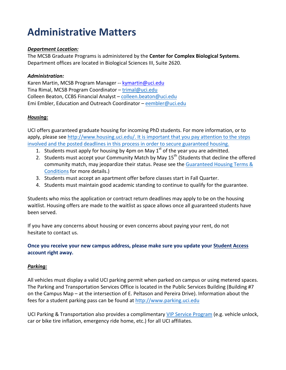## **Administrative Matters**

#### *Department Location:*

The MCSB Graduate Programs is administered by the **Center for Complex Biological Systems**. Department offices are located in Biological Sciences III, Suite 2620.

#### *Administration:*

Karen Martin, MCSB Program Manager -- kymartin@uci.edu Tina Rimal, MCSB Program Coordinator – trimal@uci.edu Colleen Beaton, CCBS Financial Analyst – colleen.beaton@uci.edu Emi Embler, Education and Outreach Coordinator - eembler@uci.edu

#### *Housing:*

UCI offers guaranteed graduate housing for incoming PhD students. For more information, or to apply, please see http://www.housing.uci.edu/. It is important that you pay attention to the steps involved and the posted deadlines in this process in order to secure guaranteed housing.

- 1. Students must apply for housing by 4pm on May  $1<sup>st</sup>$  of the year you are admitted.
- 2. Students must accept your Community Match by May  $15<sup>th</sup>$  (Students that decline the offered community match, may jeopardize their status. Pease see the Guaranteed Housing Terms & Conditions for more details.)
- 3. Students must accept an apartment offer before classes start in Fall Quarter.
- 4. Students must maintain good academic standing to continue to qualify for the guarantee.

Students who miss the application or contract return deadlines may apply to be on the housing waitlist. Housing offers are made to the waitlist as space allows once all guaranteed students have been served.

If you have any concerns about housing or even concerns about paying your rent, do not hesitate to contact us.

#### **Once you receive your new campus address, please make sure you update your Student Access account right away.**

#### *Parking:*

All vehicles must display a valid UCI parking permit when parked on campus or using metered spaces. The Parking and Transportation Services Office is located in the Public Services Building (Building #7 on the Campus Map – at the intersection of E. Peltason and Pereira Drive). Information about the fees for a student parking pass can be found at http://www.parking.uci.edu

UCI Parking & Transportation also provides a complimentary VIP Service Program (e.g. vehicle unlock, car or bike tire inflation, emergency ride home, etc.) for all UCI affiliates.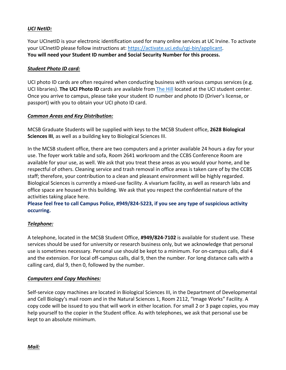#### *UCI NetID:*

Your UCInetID is your electronic identification used for many online services at UC Irvine. To activate your UCInetID please follow instructions at: https://activate.uci.edu/cgi-bin/applicant. You will need your Student ID number and Social Security Number for this process.

#### *Student Photo ID card:*

UCI photo ID cards are often required when conducting business with various campus services (e.g. UCI libraries). The UCI Photo ID cards are available from The Hill located at the UCI student center. Once you arrive to campus, please take your student ID number and photo ID (Driver's license, or passport) with you to obtain your UCI photo ID card.

#### *Common Areas and Key Distribution:*

MCSB Graduate Students will be supplied with keys to the MCSB Student office, 2628 Biological **Sciences III**, as well as a building key to Biological Sciences III.

In the MCSB student office, there are two computers and a printer available 24 hours a day for your use. The foyer work table and sofa, Room 2641 workroom and the CCBS Conference Room are available for your use, as well. We ask that you treat these areas as you would your home, and be respectful of others. Cleaning service and trash removal in office areas is taken care of by the CCBS staff; therefore, your contribution to a clean and pleasant environment will be highly regarded. Biological Sciences is currently a mixed-use facility. A vivarium facility, as well as research labs and office space are housed in this building. We ask that you respect the confidential nature of the activities taking place here.

**Please feel free to call Campus Police, #949/824-5223, if you see any type of suspicious activity occurring.**

#### *Telephone:*

A telephone, located in the MCSB Student Office, **#949/824-7102** is available for student use. These services should be used for university or research business only, but we acknowledge that personal use is sometimes necessary. Personal use should be kept to a minimum. For on-campus calls, dial 4 and the extension. For local off-campus calls, dial 9, then the number. For long distance calls with a calling card, dial 9, then 0, followed by the number.

#### *Computers and Copy Machines:*

Self-service copy machines are located in Biological Sciences III, in the Department of Developmental and Cell Biology's mail room and in the Natural Sciences 1, Room 2112, "Image Works" Facility. A copy code will be issued to you that will work in either location. For small 2 or 3 page copies, you may help yourself to the copier in the Student office. As with telephones, we ask that personal use be kept to an absolute minimum.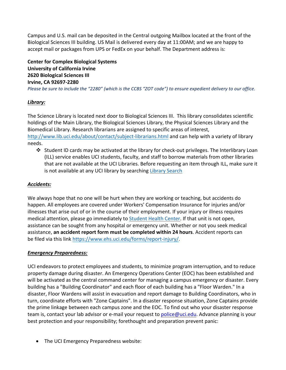Campus and U.S. mail can be deposited in the Central outgoing Mailbox located at the front of the Biological Sciences III building. US Mail is delivered every day at 11:00AM; and we are happy to accept mail or packages from UPS or FedEx on your behalf. The Department address is:

**Center for Complex Biological Systems University of California Irvine 2620 Biological Sciences III Irvine, CA 92697-2280** *Please* be sure to include the "2280" (which is the CCBS "ZOT code") to ensure expedient delivery to our office.

#### *Library:*

The Science Library is located next door to Biological Sciences III. This library consolidates scientific holdings of the Main Library, the Biological Sciences Library, the Physical Sciences Library and the Biomedical Library. Research librarians are assigned to specific areas of interest, http://www.lib.uci.edu/about/contact/subject-librarians.html and can help with a variety of library needs. 

 $\cdot$  Student ID cards may be activated at the library for check-out privileges. The Interlibrary Loan (ILL) service enables UCI students, faculty, and staff to borrow materials from other libraries that are not available at the UCI Libraries. Before requesting an item through ILL, make sure it is not available at any UCI library by searching Library Search

#### *Accidents:*

We always hope that no one will be hurt when they are working or teaching, but accidents do happen. All employees are covered under Workers' Compensation Insurance for injuries and/or illnesses that arise out of or in the course of their employment. If your injury or illness requires medical attention, please go immediately to Student Health Center. If that unit is not open, assistance can be sought from any hospital or emergency unit. Whether or not you seek medical **assistance, an accident report form must be completed within 24 hours.** Accident reports can be filed via this link https://www.ehs.uci.edu/forms/report-injury/.

#### *Emergency Preparedness:*

UCI endeavors to protect employees and students, to minimize program interruption, and to reduce property damage during disaster. An Emergency Operations Center (EOC) has been established and will be activated as the central command center for managing a campus emergency or disaster. Every building has a "Building Coordinator" and each floor of each building has a "Floor Warden." In a disaster, Floor Wardens will assist in evacuation and report damage to Building Coordinators, who in turn, coordinate efforts with "Zone Captains". In a disaster response situation, Zone Captains provide the prime linkage between each campus zone and the EOC. To find out who your disaster response team is, contact your lab advisor or e-mail your request to police@uci.edu. Advance planning is your best protection and your responsibility; forethought and preparation prevent panic:

• The UCI Emergency Preparedness website: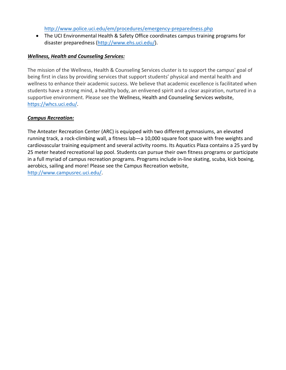http://www.police.uci.edu/em/procedures/emergency-preparedness.php

• The UCI Environmental Health & Safety Office coordinates campus training programs for disaster preparedness (http://www.ehs.uci.edu/).

#### *Wellness, Health and Counseling Services:*

The mission of the Wellness, Health & Counseling Services cluster is to support the campus' goal of being first in class by providing services that support students' physical and mental health and wellness to enhance their academic success. We believe that academic excellence is facilitated when students have a strong mind, a healthy body, an enlivened spirit and a clear aspiration, nurtured in a supportive environment. Please see the Wellness, Health and Counseling Services website, https://whcs.uci.edu/.

#### *Campus Recreation:*

The Anteater Recreation Center (ARC) is equipped with two different gymnasiums, an elevated running track, a rock-climbing wall, a fitness lab-a 10,000 square foot space with free weights and cardiovascular training equipment and several activity rooms. Its Aquatics Plaza contains a 25 yard by 25 meter heated recreational lap pool. Students can pursue their own fitness programs or participate in a full myriad of campus recreation programs. Programs include in-line skating, scuba, kick boxing, aerobics, sailing and more! Please see the Campus Recreation website, http://www.campusrec.uci.edu/.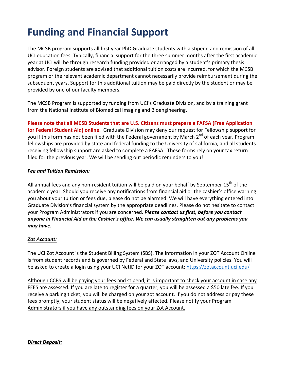## **Funding and Financial Support**

The MCSB program supports all first year PhD Graduate students with a stipend and remission of all UCI education fees. Typically, financial support for the three summer months after the first academic year at UCI will be through research funding provided or arranged by a student's primary thesis advisor. Foreign students are advised that additional tuition costs are incurred, for which the MCSB program or the relevant academic department cannot necessarily provide reimbursement during the subsequent years. Support for this additional tuition may be paid directly by the student or may be provided by one of our faculty members.

The MCSB Program is supported by funding from UCI's Graduate Division, and by a training grant from the National Institute of Biomedical Imaging and Bioengineering.

Please note that all MCSB Students that are U.S. Citizens must prepare a FAFSA (Free Application for Federal Student Aid) online. Graduate Division may deny our request for Fellowship support for you if this form has not been filed with the Federal government by March 2<sup>nd</sup> of each year. Program fellowships are provided by state and federal funding to the University of California, and all students receiving fellowship support are asked to complete a FAFSA. These forms rely on your tax return filed for the previous year. We will be sending out periodic reminders to you!

#### *Fee and Tuition Remission:*

All annual fees and any non-resident tuition will be paid on your behalf by September 15<sup>th</sup> of the academic year. Should you receive any notifications from financial aid or the cashier's office warning you about your tuition or fees due, please do not be alarmed. We will have everything entered into Graduate Division's financial system by the appropriate deadlines. Please do not hesitate to contact your Program Administrators if you are concerned. **Please contact us first, before you contact** anyone in Financial Aid or the Cashier's office. We can usually straighten out any problems you *may have.*

#### *Zot Account:*

The UCI Zot Account is the Student Billing System (SBS). The information in your ZOT Account Online is from student records and is governed by Federal and State laws, and University policies. You will be asked to create a login using your UCI NetID for your ZOT account: https://zotaccount.uci.edu/

Although CCBS will be paying your fees and stipend, it is important to check your account in case any FEES are assessed. If you are late to register for a quarter, you will be assessed a \$50 late fee. If you receive a parking ticket, you will be charged on your zot account. If you do not address or pay these fees promptly, your student status will be negatively affected. Please notify your Program Administrators if you have any outstanding fees on your Zot Account.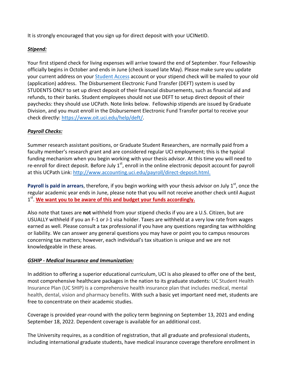It is strongly encouraged that you sign up for direct deposit with your UCINetID.

#### *Stipend:*

Your first stipend check for living expenses will arrive toward the end of September. Your Fellowship officially begins in October and ends in June (check issued late May). Please make sure you update your current address on your Student Access account or your stipend check will be mailed to your old (application) address. The Disbursement Electronic Fund Transfer (DEFT) system is used by STUDENTS ONLY to set up direct deposit of their financial disbursements, such as financial aid and refunds, to their banks. Student employees should not use DEFT to setup direct deposit of their paychecks: they should use UCPath. Note links below. Fellowship stipends are issued by Graduate Division, and you must enroll in the Disbursement Electronic Fund Transfer portal to receive your check directly: https://www.oit.uci.edu/help/deft/. 

#### *Payroll Checks:*

Summer research assistant positions, or Graduate Student Researchers, are normally paid from a faculty member's research grant and are considered regular UCI employment; this is the typical funding mechanism when you begin working with your thesis advisor. At this time you will need to re-enroll for direct deposit. Before July  $1^{st}$ , enroll in the online electronic deposit account for payroll at this UCPath Link: http://www.accounting.uci.edu/payroll/direct-deposit.html.

**Payroll is paid in arrears**, therefore, if you begin working with your thesis advisor on July 1<sup>st</sup>, once the regular academic year ends in June, please note that you will not receive another check until August 1<sup>st</sup>. We want you to be aware of this and budget your funds accordingly.

Also note that taxes are **not** withheld from your stipend checks if you are a U.S. Citizen, but are USUALLY withheld if you an F-1 or J-1 visa holder. Taxes are withheld at a very low rate from wages earned as well. Please consult a tax professional if you have any questions regarding tax withholding or liability. We can answer any general questions you may have or point you to campus resources concerning tax matters; however, each individual's tax situation is unique and we are not knowledgeable in these areas.

#### *GSHIP - Medical Insurance and Immunization:*

In addition to offering a superior educational curriculum, UCI is also pleased to offer one of the best, most comprehensive healthcare packages in the nation to its graduate students: UC Student Health Insurance Plan (UC SHIP) is a comprehensive health insurance plan that includes medical, mental health, dental, vision and pharmacy benefits. With such a basic yet important need met, students are free to concentrate on their academic studies.

Coverage is provided year-round with the policy term beginning on September 13, 2021 and ending September 18, 2022. Dependent coverage is available for an additional cost.

The University requires, as a condition of registration, that all graduate and professional students, including international graduate students, have medical insurance coverage therefore enrollment in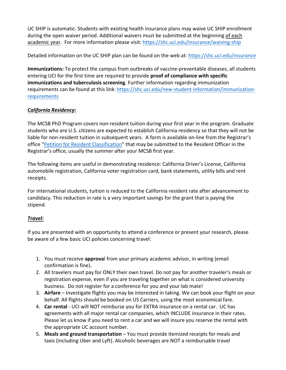UC SHIP is automatic. Students with existing health insurance plans may waive UC SHIP enrollment during the open waiver period. Additional waivers must be submitted at the beginning of each academic year. For more information please visit: https://shc.uci.edu/insurance/waiving-ship

Detailed information on the UC SHIP plan can be found on the web at: https://shc.uci.edu/insurance

**Immunizations**: To protect the campus from outbreaks of vaccine-preventable diseases, all students entering UCI for the first time are required to provide **proof of compliance with specific immunizations and tuberculosis screening**. Further information regarding immunization requirements can be found at this link: https://shc.uci.edu/new-student-information/immunizationrequirements

#### *California Residency:*

The MCSB PhD Program covers non-resident tuition during your first year in the program. Graduate students who are U.S. citizens are expected to establish California residency so that they will not be liable for non-resident tuition in subsequent years. A form is available on-line from the Registrar's office "Petition for Resident Classification" that may be submitted to the Resident Officer in the Registrar's office, usually the summer after your MCSB first year.

The following items are useful in demonstrating residence: California Driver's License, California automobile registration, California voter registration card, bank statements, utility bills and rent receipts.

For international students, tuition is reduced to the California resident rate after advancement to candidacy. This reduction in rate is a very important savings for the grant that is paying the stipend.

#### *Travel:*

If you are presented with an opportunity to attend a conference or present your research, please be aware of a few basic UCI policies concerning travel:

- 1. You must receive **approva**l from your primary academic advisor, in writing (email confirmation is fine).
- 2. All travelers must pay for ONLY their own travel. Do not pay for another traveler's meals or registration expense, even if you are traveling together on what is considered university business. Do not register for a conference for you and your lab mate!
- 3. **Airfare** Investigate flights you may be interested in taking. We can book your flight on your behalf. All flights should be booked on US Carriers, using the most economical fare.
- 4. **Car rental** UCI will NOT reimburse you for EXTRA insurance on a rental car. UC has agreements with all major rental car companies, which INCLUDE insurance in their rates. Please let us know if you need to rent a car and we will insure you reserve the rental with the appropriate UC account number.
- 5. **Meals and ground transportation** You must provide itemized receipts for meals and taxis (including Uber and Lyft). Alcoholic beverages are NOT a reimbursable travel